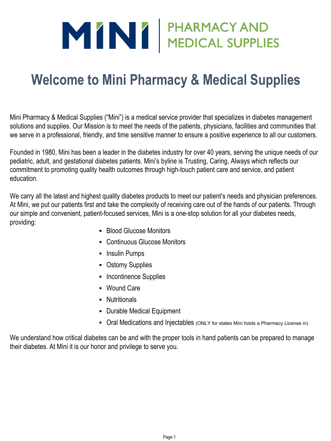# MINI PHARMACY AND

# **Welcome to Mini Pharmacy & Medical Supplies**

Mini Pharmacy & Medical Supplies ("Mini") is a medical service provider that specializes in diabetes management solutions and supplies. Our Mission is to meet the needs of the patients, physicians, facilities and communities that we serve in a professional, friendly, and time sensitive manner to ensure a positive experience to all our customers.

Founded in 1980, Mini has been a leader in the diabetes industry for over 40 years, serving the unique needs of our pediatric, adult, and gestational diabetes patients. Mini's byline is Trusting, Caring, Always which reflects our commitment to promoting quality health outcomes through high-touch patient care and service, and patient education.

We carry all the latest and highest quality diabetes products to meet our patient's needs and physician preferences. At Mini, we put our patients first and take the complexity of receiving care out of the hands of our patients. Through our simple and convenient, patient-focused services, Mini is a one-stop solution for all your diabetes needs, providing:

- Blood Glucose Monitors
- Continuous Glucose Monitors
- **•** Insulin Pumps
- Ostomy Supplies
- **·** Incontinence Supplies
- Wound Care
- **·** Nutritionals
- Durable Medical Equipment
- Oral Medications and Injectables (ONLY for states Mini holds a Pharmacy License in)

We understand how critical diabetes can be and with the proper tools in hand patients can be prepared to manage their diabetes. At Mini it is our honor and privilege to serve you.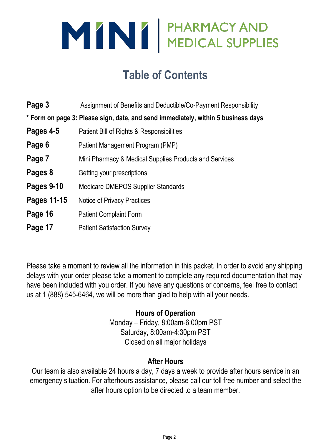

# **Table of Contents**

| Page 3      | Assignment of Benefits and Deductible/Co-Payment Responsibility                   |
|-------------|-----------------------------------------------------------------------------------|
|             | * Form on page 3: Please sign, date, and send immediately, within 5 business days |
| Pages 4-5   | Patient Bill of Rights & Responsibilities                                         |
| Page 6      | Patient Management Program (PMP)                                                  |
| Page 7      | Mini Pharmacy & Medical Supplies Products and Services                            |
| Pages 8     | Getting your prescriptions                                                        |
| Pages 9-10  | <b>Medicare DMEPOS Supplier Standards</b>                                         |
| Pages 11-15 | Notice of Privacy Practices                                                       |
| Page 16     | <b>Patient Complaint Form</b>                                                     |
| Page 17     | <b>Patient Satisfaction Survey</b>                                                |

Please take a moment to review all the information in this packet. In order to avoid any shipping delays with your order please take a moment to complete any required documentation that may have been included with you order. If you have any questions or concerns, feel free to contact us at 1 (888) 545-6464, we will be more than glad to help with all your needs.

### **Hours of Operation**

Monday – Friday, 8:00am-6:00pm PST Saturday, 8:00am-4:30pm PST Closed on all major holidays

### **After Hours**

Our team is also available 24 hours a day, 7 days a week to provide after hours service in an emergency situation. For afterhours assistance, please call our toll free number and select the after hours option to be directed to a team member.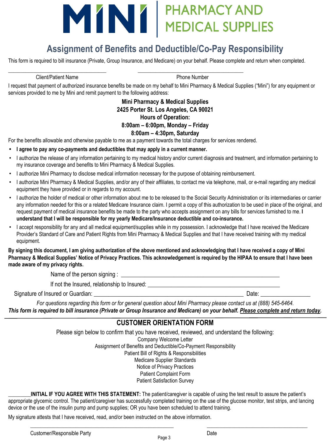# MINI PHARMACY AND

# **Assignment of Benefits and Deductible/Co-Pay Responsibility**

This form is required to bill insurance (Private, Group Insurance, and Medicare) on your behalf. Please complete and return when completed.

Client/Patient Name **Phone Number** 

I request that payment of authorized insurance benefits be made on my behalf to Mini Pharmacy & Medical Supplies ("Mini") for any equipment or services provided to me by Mini and remit payment to the following address:

#### **Mini Pharmacy & Medical Supplies 2425 Porter St. Los Angeles, CA 90021 Hours of Operation: 8:00am – 6:00pm, Monday – Friday 8:00am – 4:30pm, Saturday**

For the benefits allowable and otherwise payable to me as a payment towards the total charges for services rendered.

\_\_\_\_\_\_\_\_\_\_\_\_\_\_\_\_\_\_\_\_\_\_\_\_\_\_\_\_\_\_\_\_\_\_\_\_\_\_\_ \_\_\_\_\_\_\_\_\_\_\_\_\_\_\_\_\_\_\_\_\_\_\_\_\_\_\_\_\_\_\_\_\_\_\_\_\_\_\_\_\_\_

- **• I agree to pay any co-payments and deductibles that may apply in a current manner.**
- I authorize the release of any information pertaining to my medical history and/or current diagnosis and treatment, and information pertaining to my insurance coverage and benefits to Mini Pharmacy & Medical Supplies.
- I authorize Mini Pharmacy to disclose medical information necessary for the purpose of obtaining reimbursement.
- I authorize Mini Pharmacy & Medical Supplies, and/or any of their affiliates, to contact me via telephone, mail, or e-mail regarding any medical equipment they have provided or in regards to my account.
- I authorize the holder of medical or other information about me to be released to the Social Security Administration or its intermediaries or carrier any information needed for this or a related Medicare Insurance claim. I permit a copy of this authorization to be used in place of the original, and request payment of medical insurance benefits be made to the party who accepts assignment on any bills for services furnished to me. **I understand that I will be responsible for my yearly Medicare/Insurance deductible and co-insurance.**
- I accept responsibility for any and all medical equipment/supplies while in my possession. I acknowledge that I have received the Medicare Provider's Standard of Care and Patient Rights from Mini Pharmacy & Medical Supplies and that I have received training with my medical equipment.

**By signing this document, I am giving authorization of the above mentioned and acknowledging that I have received a copy of Mini Pharmacy & Medical Supplies' Notice of Privacy Practices. This acknowledgement is required by the HIPAA to ensure that I have been made aware of my privacy rights.**

Name of the person signing :

If not the Insured, relationship to Insured:

Signature of Insured or Guardian:  $\Box$ 

*For questions regarding this form or for general question about Mini Pharmacy please contact us at (888) 545-6464. This form is required to bill insurance (Private or Group Insurance and Medicare) on your behalf. Please complete and return today.*

#### **CUSTOMER ORIENTATION FORM**

Please sign below to confirm that you have received, reviewed, and understand the following: Company Welcome Letter Assignment of Benefits and Deductible/Co-Payment Responsibility Patient Bill of Rights & Responsibilities Medicare Supplier Standards Notice of Privacy Practices Patient Complaint Form

Patient Satisfaction Survey

**\_\_\_\_\_\_\_\_\_INITIAL IF YOU AGREE WITH THIS STATEMENT:** The patient/caregiver is capable of using the test result to assure the patient's appropriate glycemic control. The patient/caregiver has successfully completed training on the use of the glucose monitor, test strips, and lancing device or the use of the insulin pump and pump supplies; OR you have been scheduled to attend training.

My signature attests that I have received, read, and/or been instructed on the above information.

\_\_\_\_\_\_\_\_\_\_\_\_\_\_\_\_\_\_\_\_\_\_\_\_\_\_\_\_\_\_\_\_\_\_\_\_\_\_\_\_\_\_\_\_\_\_\_\_\_\_\_\_\_\_\_\_\_ \_\_\_\_\_\_\_\_\_\_\_\_\_\_\_\_\_\_\_\_\_\_\_\_\_\_\_\_\_\_\_\_\_\_\_\_\_\_\_\_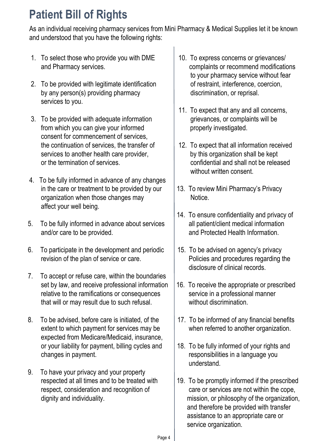# **Patient Bill of Rights**

As an individual receiving pharmacy services from Mini Pharmacy & Medical Supplies let it be known and understood that you have the following rights:

- 1. To select those who provide you with DME 10. To express concerns or grievances/<br>and Pharmacy services.
- 2. To be provided with legitimate identification **business** of restraint, interference, coercion, by any person(s) providing pharmacy discrimination, or reprisal. services to you.
- 3. To be provided with adequate information entity grievances, or complaints will be from which you can give your informed properly investigated. consent for commencement of services, the continuation of services, the transfer of  $\vert$  12. To expect that all information received services to another health care provider,  $\blacksquare$  by this organization shall be kept or the termination of services. confidential and shall not be released
- 4. To be fully informed in advance of any changes in the care or treatment to be provided by our  $\vert$  13. To review Mini Pharmacy's Privacy organization when those changes may and the Notice. affect your well being.
- 5. To be fully informed in advance about services all patient/client medical information and/or care to be provided. and Protected Health Information.
- 6. To participate in the development and periodic  $\vert$  15. To be advised on agency's privacy revision of the plan of service or care. Policies and procedures regarding the
- 7. To accept or refuse care, within the boundaries set by law, and receive professional information  $\vert$  16. To receive the appropriate or prescribed relative to the ramifications or consequences  $\vert$  service in a professional manner that will or may result due to such refusal. without discrimination.
- 8. To be advised, before care is initiated, of the  $17.$  To be informed of any financial benefits extent to which payment for services may be when referred to another organization. expected from Medicare/Medicaid, insurance, or your liability for payment, billing cycles and  $\vert$  18. To be fully informed of your rights and changes in payment. The contract of the changes in payment.
- 9. To have your privacy and your property
- complaints or recommend modifications to your pharmacy service without fear
- 11. To expect that any and all concerns,
- without written consent.
- 
- 14. To ensure confidentiality and privacy of
- disclosure of clinical records.
- 
- 
- understand.
- 19. To be promptly informed if the prescribed respect, consideration and recognition of care or services are not within the cope, dignity and individuality. The mission, or philosophy of the organization, and therefore be provided with transfer assistance to an appropriate care or service organization.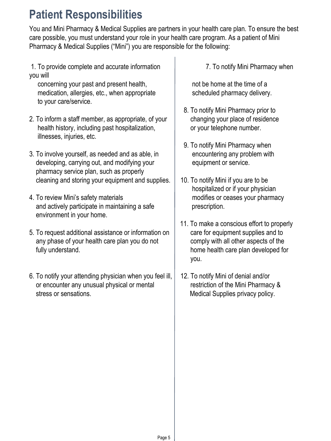# **Patient Responsibilities**

You and Mini Pharmacy & Medical Supplies are partners in your health care plan. To ensure the best care possible, you must understand your role in your health care program. As a patient of Mini Pharmacy & Medical Supplies ("Mini") you are responsible for the following:

 1. To provide complete and accurate information 7. To notify Mini Pharmacy when you will

concerning your past and present health, hot be home at the time of a medication, allergies, etc., when appropriate scheduled pharmacy delivery. to your care/service.

- 2. To inform a staff member, as appropriate, of your all changing your place of residence health history, including past hospitalization, a same your telephone number. illnesses, injuries, etc.
- 3. To involve yourself, as needed and as able, in encountering any problem with developing, carrying out, and modifying your equipment or service. pharmacy service plan, such as properly cleaning and storing your equipment and supplies.  $\vert$  10. To notify Mini if you are to be
- 4. To review Mini's safety materials modifies or ceases your pharmacy and actively participate in maintaining a safe prescription. environment in your home.
- 5. To request additional assistance or information on care for equipment supplies and to any phase of your health care plan you do not comply with all other aspects of the fully understand. The same control of the home health care plan developed for
- 6. To notify your attending physician when you feel ill, 12. To notify Mini of denial and/or or encounter any unusual physical or mental restriction of the Mini Pharmacy & stress or sensations. The medical Supplies privacy policy.

- 8. To notify Mini Pharmacy prior to
- 9. To notify Mini Pharmacy when
- hospitalized or if your physician
- 11. To make a conscious effort to properly you.
-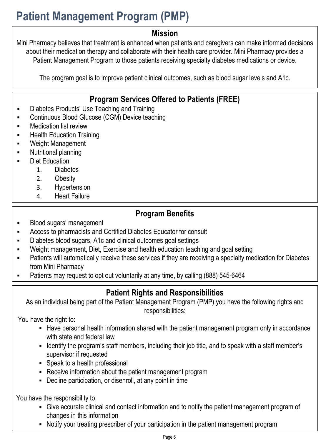# **Patient Management Program (PMP)**

## **Mission**

Mini Pharmacy believes that treatment is enhanced when patients and caregivers can make informed decisions about their medication therapy and collaborate with their health care provider. Mini Pharmacy provides a Patient Management Program to those patients receiving specialty diabetes medications or device.

The program goal is to improve patient clinical outcomes, such as blood sugar levels and A1c.

# **Program Services Offered to Patients (FREE)**

- **Diabetes Products' Use Teaching and Training**
- **Continuous Blood Glucose (CGM) Device teaching**
- **EXEC** Medication list review
- **Health Education Training**
- Weight Management
- Nutritional planning
- Diet Education
	- 1. Diabetes
	- 2. Obesity
	- 3. Hypertension
	- 4. Heart Failure

# **Program Benefits**

- Blood sugars' management
- Access to pharmacists and Certified Diabetes Educator for consult
- Diabetes blood sugars, A1c and clinical outcomes goal settings
- Weight management, Diet, Exercise and health education teaching and goal setting
- Patients will automatically receive these services if they are receiving a specialty medication for Diabetes from Mini Pharmacy
- Patients may request to opt out voluntarily at any time, by calling (888) 545-6464

## **Patient Rights and Responsibilities**

As an individual being part of the Patient Management Program (PMP) you have the following rights and responsibilities:

You have the right to:

- **EXT** Have personal health information shared with the patient management program only in accordance with state and federal law
- Identify the program's staff members, including their job title, and to speak with a staff member's supervisor if requested
- Speak to a health professional
- **EXEC** Receive information about the patient management program
- Decline participation, or disenroll, at any point in time

You have the responsibility to:

- Give accurate clinical and contact information and to notify the patient management program of changes in this information
- Notify your treating prescriber of your participation in the patient management program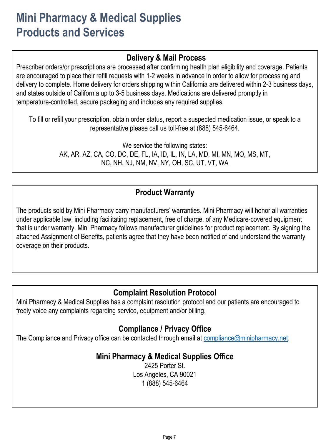# **Mini Pharmacy & Medical Supplies Products and Services**

## **Delivery & Mail Process**

Prescriber orders/or prescriptions are processed after confirming health plan eligibility and coverage. Patients are encouraged to place their refill requests with 1-2 weeks in advance in order to allow for processing and delivery to complete. Home delivery for orders shipping within California are delivered within 2-3 business days, and states outside of California up to 3-5 business days. Medications are delivered promptly in temperature-controlled, secure packaging and includes any required supplies.

To fill or refill your prescription, obtain order status, report a suspected medication issue, or speak to a representative please call us toll-free at (888) 545-6464.

> We service the following states: AK, AR, AZ, CA, CO, DC, DE, FL, IA, ID, IL, IN, LA, MD, MI, MN, MO, MS, MT, NC, NH, NJ, NM, NV, NY, OH, SC, UT, VT, WA

# **Product Warranty**

The products sold by Mini Pharmacy carry manufacturers' warranties. Mini Pharmacy will honor all warranties under applicable law, including facilitating replacement, free of charge, of any Medicare-covered equipment that is under warranty. Mini Pharmacy follows manufacturer guidelines for product replacement. By signing the attached Assignment of Benefits, patients agree that they have been notified of and understand the warranty coverage on their products.

## **Complaint Resolution Protocol**

Mini Pharmacy & Medical Supplies has a complaint resolution protocol and our patients are encouraged to freely voice any complaints regarding service, equipment and/or billing.

# **Compliance / Privacy Office**

The Compliance and Privacy office can be contacted through email at [compliance@minipharmacy.net.](mailto:compliance@minipharmacy.net)

## **Mini Pharmacy & Medical Supplies Office**

2425 Porter St. Los Angeles, CA 90021 1 (888) 545-6464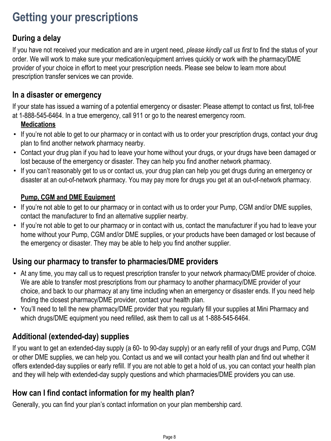# **Getting your prescriptions**

# **During a delay**

If you have not received your medication and are in urgent need, *please kindly call us first* to find the status of your order. We will work to make sure your medication/equipment arrives quickly or work with the pharmacy/DME provider of your choice in effort to meet your prescription needs. Please see below to learn more about prescription transfer services we can provide.

### **In a disaster or emergency**

If your state has issued a warning of a potential emergency or disaster: Please attempt to contact us first, toll-free at 1-888-545-6464. In a true emergency, call 911 or go to the nearest emergency room.

#### **Medications**

- If you're not able to get to our pharmacy or in contact with us to order your prescription drugs, contact your drug plan to find another network pharmacy nearby.
- Contact your drug plan if you had to leave your home without your drugs, or your drugs have been damaged or lost because of the emergency or disaster. They can help you find another network pharmacy.
- If you can't reasonably get to us or contact us, your drug plan can help you get drugs during an emergency or disaster at an out-of-network pharmacy. You may pay more for drugs you get at an out-of-network pharmacy.

#### **Pump, CGM and DME Equipment**

- If you're not able to get to our pharmacy or in contact with us to order your Pump, CGM and/or DME supplies, contact the manufacturer to find an alternative supplier nearby.
- If you're not able to get to our pharmacy or in contact with us, contact the manufacturer if you had to leave your home without your Pump, CGM and/or DME supplies, or your products have been damaged or lost because of the emergency or disaster. They may be able to help you find another supplier.

## **Using our pharmacy to transfer to pharmacies/DME providers**

- At any time, you may call us to request prescription transfer to your network pharmacy/DME provider of choice. We are able to transfer most prescriptions from our pharmacy to another pharmacy/DME provider of your choice, and back to our pharmacy at any time including when an emergency or disaster ends. If you need help finding the closest pharmacy/DME provider, contact your health plan.
- You'll need to tell the new pharmacy/DME provider that you regularly fill your supplies at Mini Pharmacy and which drugs/DME equipment you need refilled, ask them to call us at 1-888-545-6464.

## **Additional (extended-day) supplies**

If you want to get an extended-day supply (a 60- to 90-day supply) or an early refill of your drugs and Pump, CGM or other DME supplies, we can help you. Contact us and we will contact your health plan and find out whether it offers extended-day supplies or early refill. If you are not able to get a hold of us, you can contact your health plan and they will help with extended-day supply questions and which pharmacies/DME providers you can use.

## **How can I find contact information for my health plan?**

Generally, you can find your plan's contact information on your plan membership card.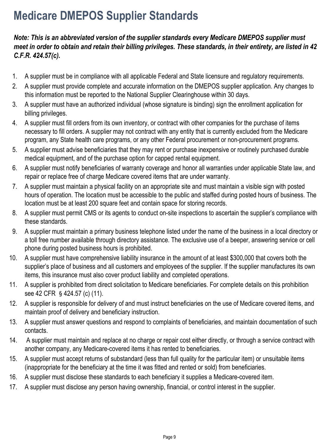# **Medicare DMEPOS Supplier Standards**

#### *Note: This is an abbreviated version of the supplier standards every Medicare DMEPOS supplier must meet in order to obtain and retain their billing privileges. These standards, in their entirety, are listed in 42 C.F.R. 424.57(c).*

- 1. A supplier must be in compliance with all applicable Federal and State licensure and regulatory requirements.
- 2. A supplier must provide complete and accurate information on the DMEPOS supplier application. Any changes to this information must be reported to the National Supplier Clearinghouse within 30 days.
- 3. A supplier must have an authorized individual (whose signature is binding) sign the enrollment application for billing privileges.
- 4. A supplier must fill orders from its own inventory, or contract with other companies for the purchase of items necessary to fill orders. A supplier may not contract with any entity that is currently excluded from the Medicare program, any State health care programs, or any other Federal procurement or non-procurement programs.
- 5. A supplier must advise beneficiaries that they may rent or purchase inexpensive or routinely purchased durable medical equipment, and of the purchase option for capped rental equipment.
- 6. A supplier must notify beneficiaries of warranty coverage and honor all warranties under applicable State law, and repair or replace free of charge Medicare covered items that are under warranty.
- 7. A supplier must maintain a physical facility on an appropriate site and must maintain a visible sign with posted hours of operation. The location must be accessible to the public and staffed during posted hours of business. The location must be at least 200 square feet and contain space for storing records.
- 8. A supplier must permit CMS or its agents to conduct on-site inspections to ascertain the supplier's compliance with these standards.
- 9. A supplier must maintain a primary business telephone listed under the name of the business in a local directory or a toll free number available through directory assistance. The exclusive use of a beeper, answering service or cell phone during posted business hours is prohibited.
- 10. A supplier must have comprehensive liability insurance in the amount of at least \$300,000 that covers both the supplier's place of business and all customers and employees of the supplier. If the supplier manufactures its own items, this insurance must also cover product liability and completed operations.
- 11. A supplier is prohibited from direct solicitation to Medicare beneficiaries. For complete details on this prohibition see 42 CFR § 424.57 (c) (11).
- 12. A supplier is responsible for delivery of and must instruct beneficiaries on the use of Medicare covered items, and maintain proof of delivery and beneficiary instruction.
- 13. A supplier must answer questions and respond to complaints of beneficiaries, and maintain documentation of such contacts.
- 14. A supplier must maintain and replace at no charge or repair cost either directly, or through a service contract with another company, any Medicare-covered items it has rented to beneficiaries.
- 15. A supplier must accept returns of substandard (less than full quality for the particular item) or unsuitable items (inappropriate for the beneficiary at the time it was fitted and rented or sold) from beneficiaries.
- 16. A supplier must disclose these standards to each beneficiary it supplies a Medicare-covered item.
- 17. A supplier must disclose any person having ownership, financial, or control interest in the supplier.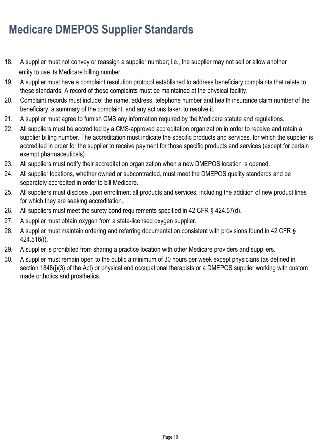# **Medicare DMEPOS Supplier Standards**

- 18. A supplier must not convey or reassign a supplier number; i.e., the supplier may not sell or allow another entity to use its Medicare billing number.
- 19. A supplier must have a complaint resolution protocol established to address beneficiary complaints that relate to these standards. A record of these complaints must be maintained at the physical facility.
- 20. Complaint records must include: the name, address, telephone number and health insurance claim number of the beneficiary, a summary of the complaint, and any actions taken to resolve it.
- 21. A supplier must agree to furnish CMS any information required by the Medicare statute and regulations.
- 22. All suppliers must be accredited by a CMS-approved accreditation organization in order to receive and retain a supplier billing number. The accreditation must indicate the specific products and services, for which the supplier is accredited in order for the supplier to receive payment for those specific products and services (except for certain exempt pharmaceuticals).
- 23. All suppliers must notify their accreditation organization when a new DMEPOS location is opened.
- 24. All supplier locations, whether owned or subcontracted, must meet the DMEPOS quality standards and be separately accredited in order to bill Medicare.
- 25. All suppliers must disclose upon enrollment all products and services, including the addition of new product lines for which they are seeking accreditation.
- 26. All suppliers must meet the surety bond requirements specified in 42 CFR § 424.57(d).
- 27. A supplier must obtain oxygen from a state-licensed oxygen supplier.
- 28. A supplier must maintain ordering and referring documentation consistent with provisions found in 42 CFR § 424.516(f).
- 29. A supplier is prohibited from sharing a practice location with other Medicare providers and suppliers.
- 30. A supplier must remain open to the public a minimum of 30 hours per week except physicians (as defined in section 1848(j)(3) of the Act) or physical and occupational therapists or a DMEPOS supplier working with custom made orthotics and prosthetics.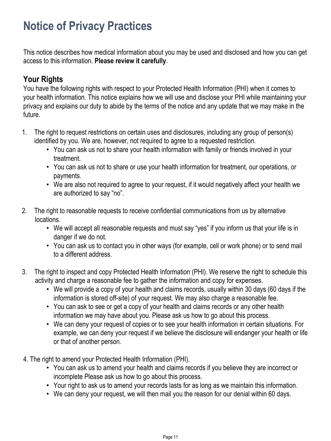This notice describes how medical information about you may be used and disclosed and how you can get access to this information. **Please review it carefully**.

## **Your Rights**

You have the following rights with respect to your Protected Health Information (PHI) when it comes to your health information. This notice explains how we will use and disclose your PHI while maintaining your privacy and explains our duty to abide by the terms of the notice and any update that we may make in the future.

- 1. The right to request restrictions on certain uses and disclosures, including any group of person(s) identified by you. We are, however, not required to agree to a requested restriction.
	- You can ask us not to share your health information with family or friends involved in your treatment.
	- You can ask us not to share or use your health information for treatment, our operations, or payments.
	- We are also not required to agree to your request, if it would negatively affect your health we are authorized to say "no".
- 2. The right to reasonable requests to receive confidential communications from us by alternative locations.
	- We will accept all reasonable requests and must say "yes" if you inform us that your life is in danger if we do not.
	- You can ask us to contact you in other ways (for example, cell or work phone) or to send mail to a different address.
- 3. The right to inspect and copy Protected Health Information (PHI). We reserve the right to schedule this activity and charge a reasonable fee to gather the information and copy for expenses.
	- We will provide a copy of your health and claims records, usually within 30 days (60 days if the information is stored off-site) of your request. We may also charge a reasonable fee.
	- You can ask to see or get a copy of your health and claims records or any other health information we may have about you. Please ask us how to go about this process.
	- We can deny your request of copies or to see your health information in certain situations. For example, we can deny your request if we believe the disclosure will endanger your health or life or that of another person.
- 4. The right to amend your Protected Health Information (PHI).
	- You can ask us to amend your health and claims records if you believe they are incorrect or incomplete Please ask us how to go about this process.
	- Your right to ask us to amend your records lasts for as long as we maintain this information.
	- We can deny your request, we will then mail you the reason for our denial within 60 days.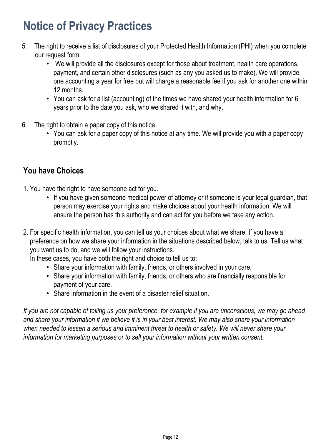- 5. The right to receive a list of disclosures of your Protected Health Information (PHI) when you complete our request form.
	- We will provide all the disclosures except for those about treatment, health care operations, payment, and certain other disclosures (such as any you asked us to make). We will provide one accounting a year for free but will charge a reasonable fee if you ask for another one within 12 months.
	- You can ask for a list (accounting) of the times we have shared your health information for 6 years prior to the date you ask, who we shared it with, and why.
- 6. The right to obtain a paper copy of this notice.
	- You can ask for a paper copy of this notice at any time. We will provide you with a paper copy promptly.

## **You have Choices**

- 1. You have the right to have someone act for you.
	- If you have given someone medical power of attorney or if someone is your legal guardian, that person may exercise your rights and make choices about your health information. We will ensure the person has this authority and can act for you before we take any action.
- 2. For specific health information, you can tell us your choices about what we share. If you have a preference on how we share your information in the situations described below, talk to us. Tell us what you want us to do, and we will follow your instructions.

In these cases, you have both the right and choice to tell us to:

- Share your information with family, friends, or others involved in your care.
- Share your information with family, friends, or others who are financially responsible for payment of your care.
- Share information in the event of a disaster relief situation.

*If you are not capable of telling us your preference, for example if you are unconscious, we may go ahead and share your information if we believe it is in your best interest. We may also share your information when needed to lessen a serious and imminent threat to health or safety. We will never share your information for marketing purposes or to sell your information without your written consent.*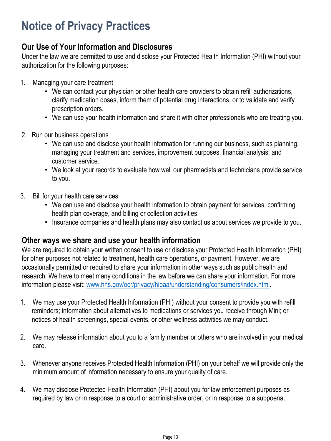## **Our Use of Your Information and Disclosures**

Under the law we are permitted to use and disclose your Protected Health Information (PHI) without your authorization for the following purposes:

- 1. Managing your care treatment
	- We can contact your physician or other health care providers to obtain refill authorizations, clarify medication doses, inform them of potential drug interactions, or to validate and verify prescription orders.
	- We can use your health information and share it with other professionals who are treating you.
- 2. Run our business operations
	- We can use and disclose your health information for running our business, such as planning, managing your treatment and services, improvement purposes, financial analysis, and customer service.
	- We look at your records to evaluate how well our pharmacists and technicians provide service to you.
- 3. Bill for your health care services
	- We can use and disclose your health information to obtain payment for services, confirming health plan coverage, and billing or collection activities.
	- Insurance companies and health plans may also contact us about services we provide to you.

### **Other ways we share and use your health information**

We are required to obtain your written consent to use or disclose your Protected Health Information (PHI) for other purposes not related to treatment, health care operations, or payment. However, we are occasionally permitted or required to share your information in other ways such as public health and research. We have to meet many conditions in the law before we can share your information. For more information please visit: [www.hhs.gov/ocr/privacy/hipaa/understanding/consumers/index.html](http://www.hhs.gov/ocr/privacy/hipaa/understanding/consumers/index.html).

- 1. We may use your Protected Health Information (PHI) without your consent to provide you with refill reminders; information about alternatives to medications or services you receive through Mini; or notices of health screenings, special events, or other wellness activities we may conduct.
- 2. We may release information about you to a family member or others who are involved in your medical care.
- 3. Whenever anyone receives Protected Health Information (PHI) on your behalf we will provide only the minimum amount of information necessary to ensure your quality of care.
- 4. We may disclose Protected Health Information (PHI) about you for law enforcement purposes as required by law or in response to a court or administrative order, or in response to a subpoena.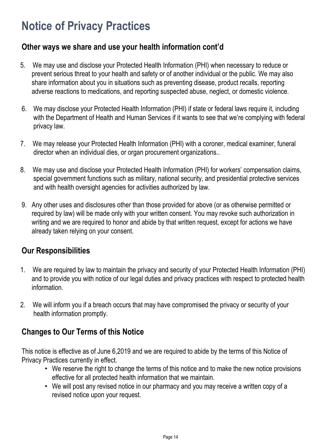## **Other ways we share and use your health information cont'd**

- 5. We may use and disclose your Protected Health Information (PHI) when necessary to reduce or prevent serious threat to your health and safety or of another individual or the public. We may also share information about you in situations such as preventing disease, product recalls, reporting adverse reactions to medications, and reporting suspected abuse, neglect, or domestic violence.
- 6. We may disclose your Protected Health Information (PHI) if state or federal laws require it, including with the Department of Health and Human Services if it wants to see that we're complying with federal privacy law.
- 7. We may release your Protected Health Information (PHI) with a coroner, medical examiner, funeral director when an individual dies, or organ procurement organizations..
- 8. We may use and disclose your Protected Health Information (PHI) for workers' compensation claims, special government functions such as military, national security, and presidential protective services and with health oversight agencies for activities authorized by law.
- 9. Any other uses and disclosures other than those provided for above (or as otherwise permitted or required by law) will be made only with your written consent. You may revoke such authorization in writing and we are required to honor and abide by that written request, except for actions we have already taken relying on your consent.

## **Our Responsibilities**

- 1. We are required by law to maintain the privacy and security of your Protected Health Information (PHI) and to provide you with notice of our legal duties and privacy practices with respect to protected health information.
- 2. We will inform you if a breach occurs that may have compromised the privacy or security of your health information promptly.

## **Changes to Our Terms of this Notice**

This notice is effective as of June 6,2019 and we are required to abide by the terms of this Notice of Privacy Practices currently in effect.

- We reserve the right to change the terms of this notice and to make the new notice provisions effective for all protected health information that we maintain.
- We will post any revised notice in our pharmacy and you may receive a written copy of a revised notice upon your request.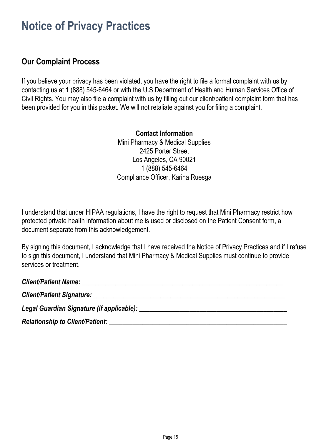## **Our Complaint Process**

If you believe your privacy has been violated, you have the right to file a formal complaint with us by contacting us at 1 (888) 545-6464 or with the U.S Department of Health and Human Services Office of Civil Rights. You may also file a complaint with us by filling out our client/patient complaint form that has been provided for you in this packet. We will not retaliate against you for filing a complaint.

> **Contact Information** Mini Pharmacy & Medical Supplies 2425 Porter Street Los Angeles, CA 90021 1 (888) 545-6464 Compliance Officer, Karina Ruesga

I understand that under HIPAA regulations, I have the right to request that Mini Pharmacy restrict how protected private health information about me is used or disclosed on the Patient Consent form, a document separate from this acknowledgement.

By signing this document, I acknowledge that I have received the Notice of Privacy Practices and if I refuse to sign this document, I understand that Mini Pharmacy & Medical Supplies must continue to provide services or treatment.

| Client/Patient Name: Name: Name and Alliance Client Annual Alliance Client Annual Alliance Client Annual Allia |  |
|----------------------------------------------------------------------------------------------------------------|--|
| Client/Patient Signature: New York Client Contract of the Client Contract of the Client Contract of the Client |  |
|                                                                                                                |  |
| Relationship to Client/Patient:                                                                                |  |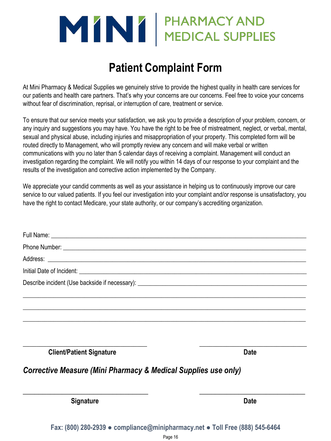# MINI PHARMACY AND

# **Patient Complaint Form**

At Mini Pharmacy & Medical Supplies we genuinely strive to provide the highest quality in health care services for our patients and health care partners. That's why your concerns are our concerns. Feel free to voice your concerns without fear of discrimination, reprisal, or interruption of care, treatment or service.

To ensure that our service meets your satisfaction, we ask you to provide a description of your problem, concern, or any inquiry and suggestions you may have. You have the right to be free of mistreatment, neglect, or verbal, mental, sexual and physical abuse, including injuries and misappropriation of your property. This completed form will be routed directly to Management, who will promptly review any concern and will make verbal or written communications with you no later than 5 calendar days of receiving a complaint. Management will conduct an investigation regarding the complaint. We will notify you within 14 days of our response to your complaint and the results of the investigation and corrective action implemented by the Company.

We appreciate your candid comments as well as your assistance in helping us to continuously improve our care service to our valued patients. If you feel our investigation into your complaint and/or response is unsatisfactory, you have the right to contact Medicare, your state authority, or our company's accrediting organization.

| <b>Signature</b>                                                                                                                                                                                                                     | <b>Date</b> |
|--------------------------------------------------------------------------------------------------------------------------------------------------------------------------------------------------------------------------------------|-------------|
| <b>Corrective Measure (Mini Pharmacy &amp; Medical Supplies use only)</b>                                                                                                                                                            |             |
| <b>Client/Patient Signature</b>                                                                                                                                                                                                      | <b>Date</b> |
|                                                                                                                                                                                                                                      |             |
|                                                                                                                                                                                                                                      |             |
|                                                                                                                                                                                                                                      |             |
|                                                                                                                                                                                                                                      |             |
| Address: <u>example and a series of the series of the series of the series of the series of the series of the series of the series of the series of the series of the series of the series of the series of the series of the se</u> |             |
|                                                                                                                                                                                                                                      |             |
|                                                                                                                                                                                                                                      |             |

**Fax: (800) 280-2939 ● compliance@minipharmacy.net ● Toll Free (888) 545-6464**